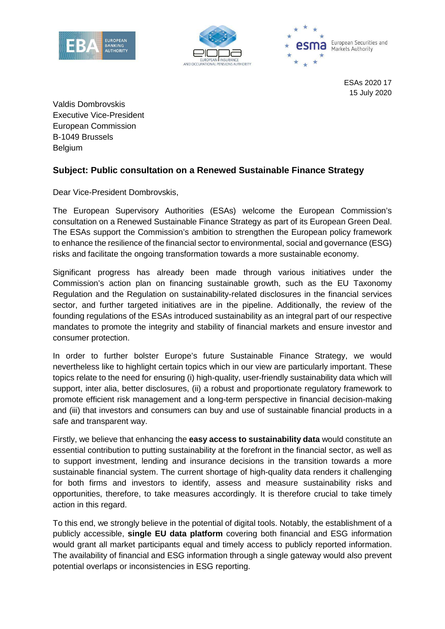





ESAs 2020 17 15 July 2020

Valdis Dombrovskis Executive Vice-President European Commission B-1049 Brussels Belgium

## **Subject: Public consultation on a Renewed Sustainable Finance Strategy**

Dear Vice-President Dombrovskis,

The European Supervisory Authorities (ESAs) welcome the European Commission's consultation on a Renewed Sustainable Finance Strategy as part of its European Green Deal. The ESAs support the Commission's ambition to strengthen the European policy framework to enhance the resilience of the financial sector to environmental, social and governance (ESG) risks and facilitate the ongoing transformation towards a more sustainable economy.

Significant progress has already been made through various initiatives under the Commission's action plan on financing sustainable growth, such as the EU Taxonomy Regulation and the Regulation on sustainability-related disclosures in the financial services sector, and further targeted initiatives are in the pipeline. Additionally, the review of the founding regulations of the ESAs introduced sustainability as an integral part of our respective mandates to promote the integrity and stability of financial markets and ensure investor and consumer protection.

In order to further bolster Europe's future Sustainable Finance Strategy, we would nevertheless like to highlight certain topics which in our view are particularly important. These topics relate to the need for ensuring (i) high-quality, user-friendly sustainability data which will support, inter alia, better disclosures, (ii) a robust and proportionate regulatory framework to promote efficient risk management and a long-term perspective in financial decision-making and (iii) that investors and consumers can buy and use of sustainable financial products in a safe and transparent way.

Firstly, we believe that enhancing the **easy access to sustainability data** would constitute an essential contribution to putting sustainability at the forefront in the financial sector, as well as to support investment, lending and insurance decisions in the transition towards a more sustainable financial system. The current shortage of high-quality data renders it challenging for both firms and investors to identify, assess and measure sustainability risks and opportunities, therefore, to take measures accordingly. It is therefore crucial to take timely action in this regard.

To this end, we strongly believe in the potential of digital tools. Notably, the establishment of a publicly accessible, **single EU data platform** covering both financial and ESG information would grant all market participants equal and timely access to publicly reported information. The availability of financial and ESG information through a single gateway would also prevent potential overlaps or inconsistencies in ESG reporting.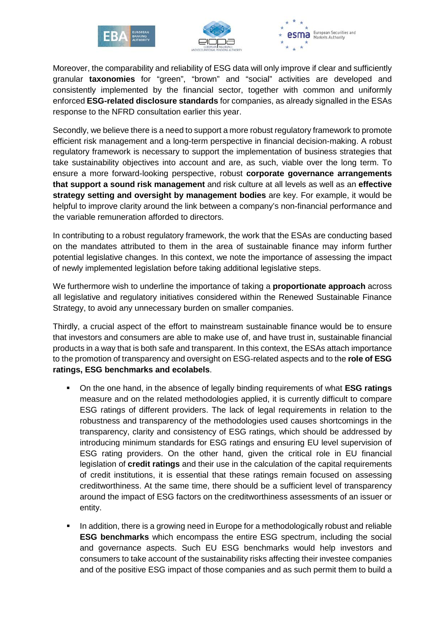





Moreover, the comparability and reliability of ESG data will only improve if clear and sufficiently granular **taxonomies** for "green", "brown" and "social" activities are developed and consistently implemented by the financial sector, together with common and uniformly enforced **ESG-related disclosure standards** for companies, as already signalled in the ESAs response to the NFRD consultation earlier this year.

Secondly, we believe there is a need to support a more robust regulatory framework to promote efficient risk management and a long-term perspective in financial decision-making. A robust regulatory framework is necessary to support the implementation of business strategies that take sustainability objectives into account and are, as such, viable over the long term. To ensure a more forward-looking perspective, robust **corporate governance arrangements that support a sound risk management** and risk culture at all levels as well as an **effective strategy setting and oversight by management bodies** are key. For example, it would be helpful to improve clarity around the link between a company's non-financial performance and the variable remuneration afforded to directors.

In contributing to a robust regulatory framework, the work that the ESAs are conducting based on the mandates attributed to them in the area of sustainable finance may inform further potential legislative changes. In this context, we note the importance of assessing the impact of newly implemented legislation before taking additional legislative steps.

We furthermore wish to underline the importance of taking a **proportionate approach** across all legislative and regulatory initiatives considered within the Renewed Sustainable Finance Strategy, to avoid any unnecessary burden on smaller companies.

Thirdly, a crucial aspect of the effort to mainstream sustainable finance would be to ensure that investors and consumers are able to make use of, and have trust in, sustainable financial products in a way that is both safe and transparent. In this context, the ESAs attach importance to the promotion of transparency and oversight on ESG-related aspects and to the **role of ESG ratings, ESG benchmarks and ecolabels**.

- On the one hand, in the absence of legally binding requirements of what **ESG ratings** measure and on the related methodologies applied, it is currently difficult to compare ESG ratings of different providers. The lack of legal requirements in relation to the robustness and transparency of the methodologies used causes shortcomings in the transparency, clarity and consistency of ESG ratings, which should be addressed by introducing minimum standards for ESG ratings and ensuring EU level supervision of ESG rating providers. On the other hand, given the critical role in EU financial legislation of **credit ratings** and their use in the calculation of the capital requirements of credit institutions, it is essential that these ratings remain focused on assessing creditworthiness. At the same time, there should be a sufficient level of transparency around the impact of ESG factors on the creditworthiness assessments of an issuer or entity.
- In addition, there is a growing need in Europe for a methodologically robust and reliable **ESG benchmarks** which encompass the entire ESG spectrum, including the social and governance aspects. Such EU ESG benchmarks would help investors and consumers to take account of the sustainability risks affecting their investee companies and of the positive ESG impact of those companies and as such permit them to build a